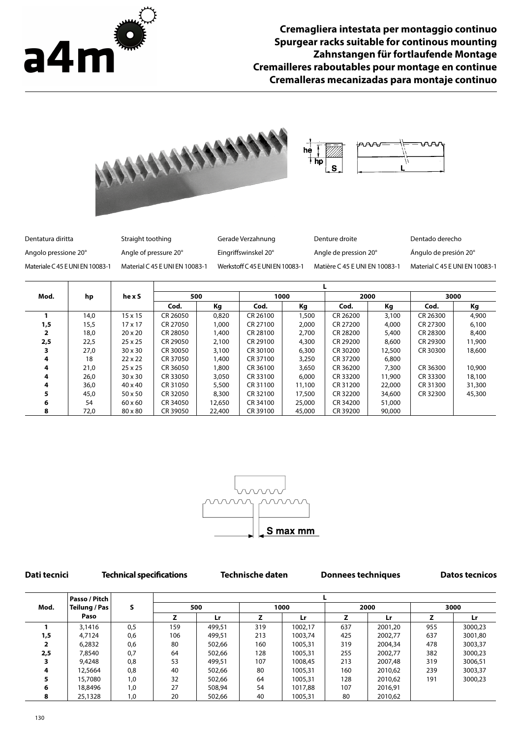

**Cremagliera intestata per montaggio continuo Spurgear racks suitable for continous mounting Zahnstangen für fortlaufende Montage Cremailleres raboutables pour montage en continue Cremalleras mecanizadas para montaje continuo**



| Dentatura diritta               | Straight toothing              | Gerade Verzahnung              | Denture droite                | Dentado derecho                |
|---------------------------------|--------------------------------|--------------------------------|-------------------------------|--------------------------------|
| Angolo pressione 20°            | Angle of pressure 20°          | Eingriffswinskel 20°           | Angle de pression 20°         | Ángulo de presión 20°          |
| Materiale C 45 E UNI EN 10083-1 | Material C 45 E UNI EN 10083-1 | Werkstoff C45 E UNI EN 10083-1 | Matière C 45 E UNI EN 10083-1 | Material C 45 E UNI EN 10083-1 |

| Mod. | hp   | hexS           | 500      |        | 1000     |        | 2000     |        | 3000     |        |
|------|------|----------------|----------|--------|----------|--------|----------|--------|----------|--------|
|      |      |                | Cod.     | Кg     | Cod.     | Кg     | Cod.     | Кg     | Cod.     | Kg     |
|      | 14.0 | $15 \times 15$ | CR 26050 | 0,820  | CR 26100 | 1,500  | CR 26200 | 3,100  | CR 26300 | 4,900  |
| 1,5  | 15,5 | $17 \times 17$ | CR 27050 | 1,000  | CR 27100 | 2,000  | CR 27200 | 4,000  | CR 27300 | 6,100  |
|      | 18,0 | $20 \times 20$ | CR 28050 | 1,400  | CR 28100 | 2,700  | CR 28200 | 5,400  | CR 28300 | 8,400  |
| 2,5  | 22,5 | $25 \times 25$ | CR 29050 | 2,100  | CR 29100 | 4,300  | CR 29200 | 8,600  | CR 29300 | 11,900 |
|      | 27,0 | $30 \times 30$ | CR 30050 | 3,100  | CR 30100 | 6,300  | CR 30200 | 12,500 | CR 30300 | 18,600 |
| 4    | 18   | $22 \times 22$ | CR 37050 | 1,400  | CR 37100 | 3,250  | CR 37200 | 6,800  |          |        |
| 4    | 21,0 | $25 \times 25$ | CR 36050 | 1,800  | CR 36100 | 3,650  | CR 36200 | 7,300  | CR 36300 | 10,900 |
| 4    | 26,0 | $30 \times 30$ | CR 33050 | 3,050  | CR 33100 | 6,000  | CR 33200 | 11,900 | CR 33300 | 18,100 |
| 4    | 36,0 | $40 \times 40$ | CR 31050 | 5,500  | CR 31100 | 11,100 | CR 31200 | 22,000 | CR 31300 | 31,300 |
|      | 45,0 | $50 \times 50$ | CR 32050 | 8,300  | CR 32100 | 17,500 | CR 32200 | 34,600 | CR 32300 | 45,300 |
| 6    | 54   | $60 \times 60$ | CR 34050 | 12,650 | CR 34100 | 25,000 | CR 34200 | 51,000 |          |        |
| 8    | 72,0 | 80 x 80        | CR 39050 | 22,400 | CR 39100 | 45,000 | CR 39200 | 90,000 |          |        |



**Dati tecnici Technical specifications Technische daten Donnees techniques Datos tecnicos**

|      | Passo / Pitch |     |     |        |      |         |      |         |      |         |
|------|---------------|-----|-----|--------|------|---------|------|---------|------|---------|
| Mod. | Teilung / Pas | s   | 500 |        | 1000 |         | 2000 |         | 3000 |         |
|      | Paso          |     |     | Lr     |      | Lr      |      | Lr.     |      | Lr      |
|      | 3,1416        | 0,5 | 159 | 499.51 | 319  | 1002,17 | 637  | 2001,20 | 955  | 3000,23 |
| 1,5  | 4,7124        | 0,6 | 106 | 499.51 | 213  | 1003,74 | 425  | 2002,77 | 637  | 3001.80 |
|      | 6,2832        | 0,6 | 80  | 502,66 | 160  | 1005,31 | 319  | 2004,34 | 478  | 3003,37 |
| 2,5  | 7,8540        | 0,7 | 64  | 502,66 | 128  | 1005,31 | 255  | 2002,77 | 382  | 3000,23 |
|      | 9,4248        | 0,8 | 53  | 499,51 | 107  | 1008,45 | 213  | 2007,48 | 319  | 3006,51 |
| 4    | 12,5664       | 0,8 | 40  | 502,66 | 80   | 1005,31 | 160  | 2010,62 | 239  | 3003,37 |
| 5    | 15,7080       | 1,0 | 32  | 502,66 | 64   | 1005,31 | 128  | 2010,62 | 191  | 3000,23 |
| 6    | 18,8496       | 1,0 | 27  | 508,94 | 54   | 1017,88 | 107  | 2016,91 |      |         |
| 8    | 25,1328       | 1,0 | 20  | 502,66 | 40   | 1005,31 | 80   | 2010,62 |      |         |